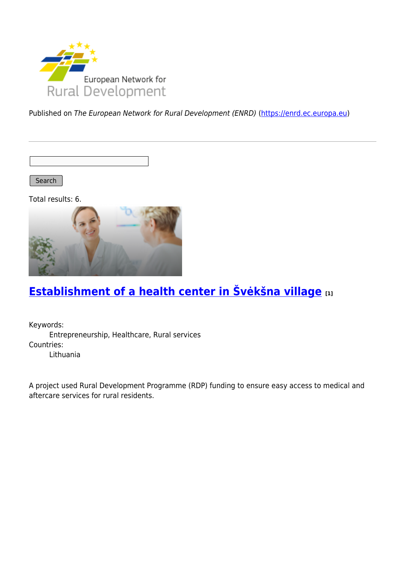

Published on The European Network for Rural Development (ENRD) [\(https://enrd.ec.europa.eu](https://enrd.ec.europa.eu))

Search |

Total results: 6.



# **[Establishment of a health center in Švėkšna village](https://enrd.ec.europa.eu/projects-practice/establishment-health-center-sveksna-village_en) [1]**

Keywords: Entrepreneurship, Healthcare, Rural services Countries: Lithuania

A project used Rural Development Programme (RDP) funding to ensure easy access to medical and aftercare services for rural residents.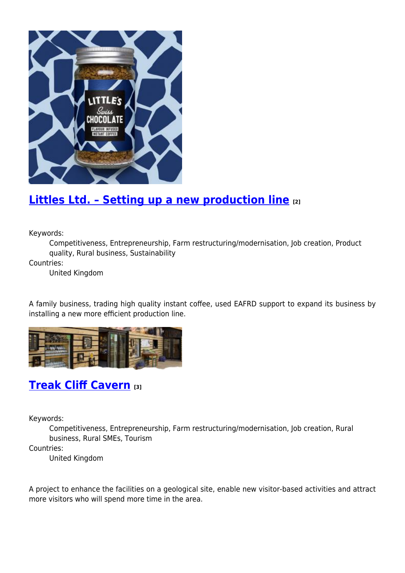

### **[Littles Ltd. – Setting up a new production line](https://enrd.ec.europa.eu/projects-practice/littles-ltd-setting-new-production-line_en) [2]**

Keywords:

Competitiveness, Entrepreneurship, Farm restructuring/modernisation, Job creation, Product quality, Rural business, Sustainability

Countries:

United Kingdom

A family business, trading high quality instant coffee, used EAFRD support to expand its business by installing a new more efficient production line.



#### **[Treak Cliff Cavern](https://enrd.ec.europa.eu/projects-practice/treak-cliff-cavern_en) [3]**

Keywords:

Competitiveness, Entrepreneurship, Farm restructuring/modernisation, Job creation, Rural business, Rural SMEs, Tourism

Countries:

United Kingdom

A project to enhance the facilities on a geological site, enable new visitor-based activities and attract more visitors who will spend more time in the area.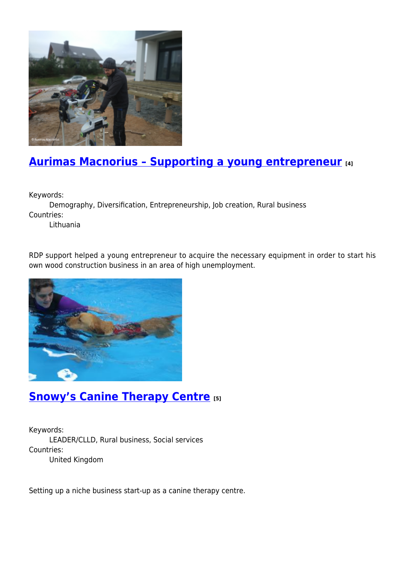

### **[Aurimas Macnorius – Supporting a young entrepreneur](https://enrd.ec.europa.eu/projects-practice/aurimas-macnorius-supporting-young-entrepreneur_en) [4]**

Keywords:

Demography, Diversification, Entrepreneurship, Job creation, Rural business Countries:

Lithuania

RDP support helped a young entrepreneur to acquire the necessary equipment in order to start his own wood construction business in an area of high unemployment.



## **[Snowy's Canine Therapy Centre](https://enrd.ec.europa.eu/projects-practice/snowys-canine-therapy-centre_en) [5]**

Keywords: LEADER/CLLD, Rural business, Social services Countries: United Kingdom

Setting up a niche business start-up as a canine therapy centre.